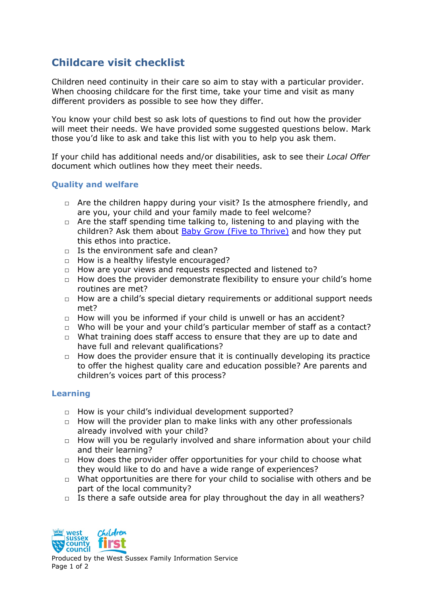## **Childcare visit checklist**

Children need continuity in their care so aim to stay with a particular provider. When choosing childcare for the first time, take your time and visit as many different providers as possible to see how they differ.

You know your child best so ask lots of questions to find out how the provider will meet their needs. We have provided some suggested questions below. Mark those you'd like to ask and take this list with you to help you ask them.

If your child has additional needs and/or disabilities, ask to see their *Local Offer* document which outlines how they meet their needs.

## **Quality and welfare**

- $\Box$  Are the children happy during your visit? Is the atmosphere friendly, and are you, your child and your family made to feel welcome?
- $\Box$  Are the staff spending time talking to, listening to and playing with the children? Ask them about [Baby Grow \(Five to Thrive\)](https://www.westsussex.gov.uk/education-children-and-families/support-for-families/developing-your-babys-brain/) and how they put this ethos into practice.
- $\Box$  Is the environment safe and clean?
- □ How is a healthy lifestyle encouraged?
- □ How are your views and requests respected and listened to?
- $\Box$  How does the provider demonstrate flexibility to ensure your child's home routines are met?
- $\Box$  How are a child's special dietary requirements or additional support needs met?
- $\Box$  How will you be informed if your child is unwell or has an accident?
- □ Who will be your and your child's particular member of staff as a contact?
- $\Box$  What training does staff access to ensure that they are up to date and have full and relevant qualifications?
- $\Box$  How does the provider ensure that it is continually developing its practice to offer the highest quality care and education possible? Are parents and children's voices part of this process?

## **Learning**

- □ How is your child's individual development supported?
- $\Box$  How will the provider plan to make links with any other professionals already involved with your child?
- $\Box$  How will you be regularly involved and share information about your child and their learning?
- $\Box$  How does the provider offer opportunities for your child to choose what they would like to do and have a wide range of experiences?
- □ What opportunities are there for your child to socialise with others and be part of the local community?
- $\Box$  Is there a safe outside area for play throughout the day in all weathers?